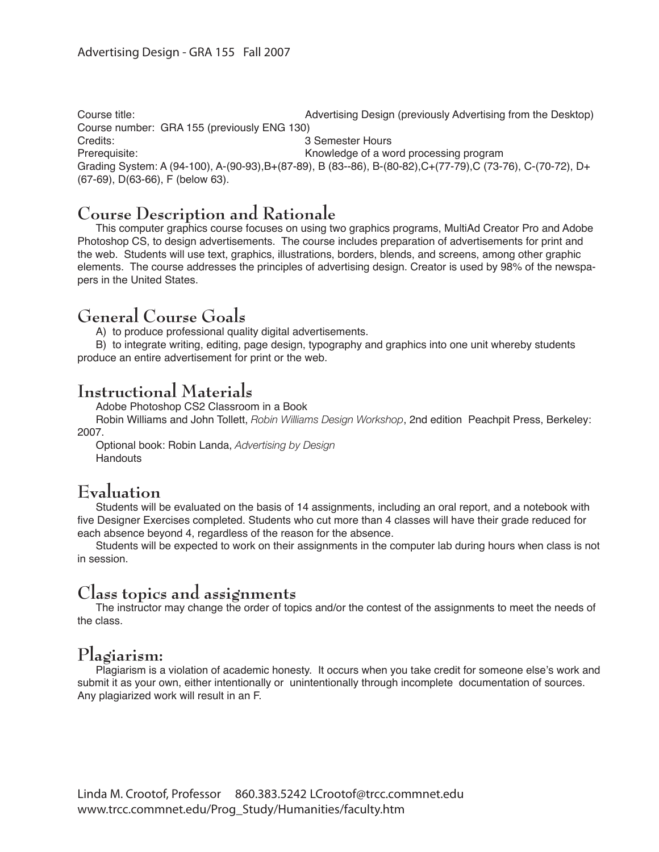Course title: Advertising Design (previously Advertising from the Desktop) Course number: GRA 155 (previously ENG 130) Credits: 3 Semester Hours Prerequisite: example a metal of the Monday of a word processing program Grading System: A (94-100), A-(90-93), B+(87-89), B (83--86), B-(80-82), C+(77-79), C (73-76), C-(70-72), D+ (67-69), D(63-66), F (below 63).

### **Course Description and Rationale**

 This computer graphics course focuses on using two graphics programs, MultiAd Creator Pro and Adobe Photoshop CS, to design advertisements. The course includes preparation of advertisements for print and the web. Students will use text, graphics, illustrations, borders, blends, and screens, among other graphic elements. The course addresses the principles of advertising design. Creator is used by 98% of the newspapers in the United States.

### **General Course Goals**

 A) to produce professional quality digital advertisements.

 B) to integrate writing, editing, page design, typography and graphics into one unit whereby students produce an entire advertisement for print or the web.

### **Instructional Materials**

 Adobe Photoshop CS2 Classroom in a Book

 Robin Williams and John Tollett, *Robin Williams Design Workshop*, 2nd edition Peachpit Press, Berkeley: 2007.

 Optional book: Robin Landa, *Advertising by Design* **Handouts** 

## **Evaluation**

 Students will be evaluated on the basis of 14 assignments, including an oral report, and a notebook with five Designer Exercises completed. Students who cut more than 4 classes will have their grade reduced for each absence beyond 4, regardless of the reason for the absence.

 Students will be expected to work on their assignments in the computer lab during hours when class is not in session.

### **Class topics and assignments**

 The instructor may change the order of topics and/or the contest of the assignments to meet the needs of the class.

### **Plagiarism:**

 Plagiarism is a violation of academic honesty. It occurs when you take credit for someone else's work and submit it as your own, either intentionally or unintentionally through incomplete documentation of sources. Any plagiarized work will result in an F.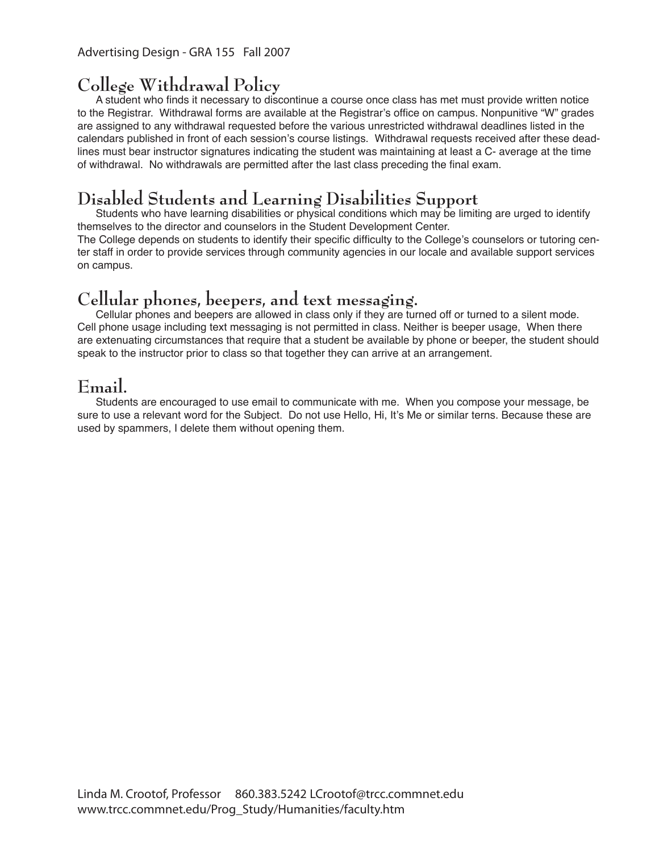# **College Withdrawal Policy**

A student who finds it necessary to discontinue a course once class has met must provide written notice to the Registrar. Withdrawal forms are available at the Registrar's office on campus. Nonpunitive "W" grades are assigned to any withdrawal requested before the various unrestricted withdrawal deadlines listed in the calendars published in front of each session's course listings. Withdrawal requests received after these deadlines must bear instructor signatures indicating the student was maintaining at least a C- average at the time of withdrawal. No withdrawals are permitted after the last class preceding the final exam.

## **Disabled Students and Learning Disabilities Support**

Students who have learning disabilities or physical conditions which may be limiting are urged to identify themselves to the director and counselors in the Student Development Center.

The College depends on students to identify their specific difficulty to the College's counselors or tutoring center staff in order to provide services through community agencies in our locale and available support services on campus.

### **Cellular phones, beepers, and text messaging.**

Cellular phones and beepers are allowed in class only if they are turned off or turned to a silent mode. Cell phone usage including text messaging is not permitted in class. Neither is beeper usage, When there are extenuating circumstances that require that a student be available by phone or beeper, the student should speak to the instructor prior to class so that together they can arrive at an arrangement.

## **Email.**

 Students are encouraged to use email to communicate with me. When you compose your message, be sure to use a relevant word for the Subject. Do not use Hello, Hi, It's Me or similar terns. Because these are used by spammers, I delete them without opening them.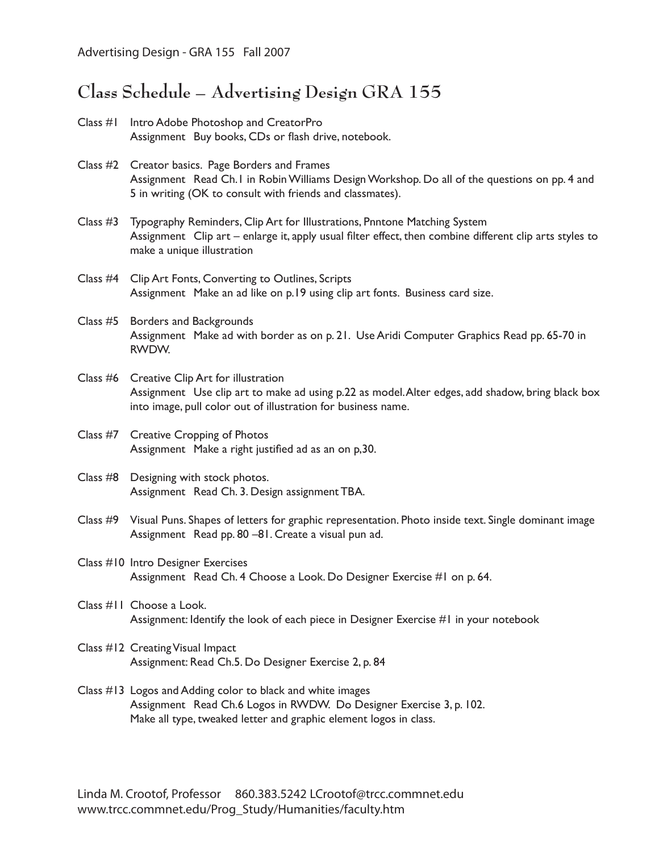## **Class Schedule – Advertising Design GRA 155**

- Class #1 Intro Adobe Photoshop and CreatorPro Assignment Buy books, CDs or flash drive, notebook.
- Class #2 Creator basics. Page Borders and Frames Assignment Read Ch.1 in RobinWilliams DesignWorkshop. Do all of the questions on pp. 4 and 5 in writing (OK to consult with friends and classmates).
- Class #3 Typography Reminders, Clip Art for Illustrations, Pnntone Matching System Assignment Clip art – enlarge it, apply usual filter effect, then combine different clip arts styles to make a unique illustration
- Class #4 Clip Art Fonts, Converting to Outlines, Scripts Assignment Make an ad like on p.19 using clip art fonts. Business card size.
- Class #5 Borders and Backgrounds Assignment Make ad with border as on p. 21. Use Aridi Computer Graphics Read pp. 65-70 in RWDW.
- Class #6 Creative Clip Art for illustration Assignment Use clip art to make ad using p.22 as model. Alter edges, add shadow, bring black box into image, pull color out of illustration for business name.
- Class #7 Creative Cropping of Photos Assignment Make a right justified ad as an on p,30.
- Class #8 Designing with stock photos. Assignment Read Ch. 3. Design assignment TBA.
- Class #9 Visual Puns. Shapes of letters for graphic representation. Photo inside text. Single dominant image Assignment Read pp. 80 –81. Create a visual pun ad.
- Class #10 Intro Designer Exercises Assignment Read Ch. 4 Choose a Look. Do Designer Exercise #1 on p. 64.
- Class #11 Choose a Look. Assignment: Identify the look of each piece in Designer Exercise #1 in your notebook
- Class #12 CreatingVisual Impact Assignment: Read Ch.5. Do Designer Exercise 2, p. 84
- Class #13 Logos and Adding color to black and white images Assignment Read Ch.6 Logos in RWDW. Do Designer Exercise 3, p. 102. Make all type, tweaked letter and graphic element logos in class.